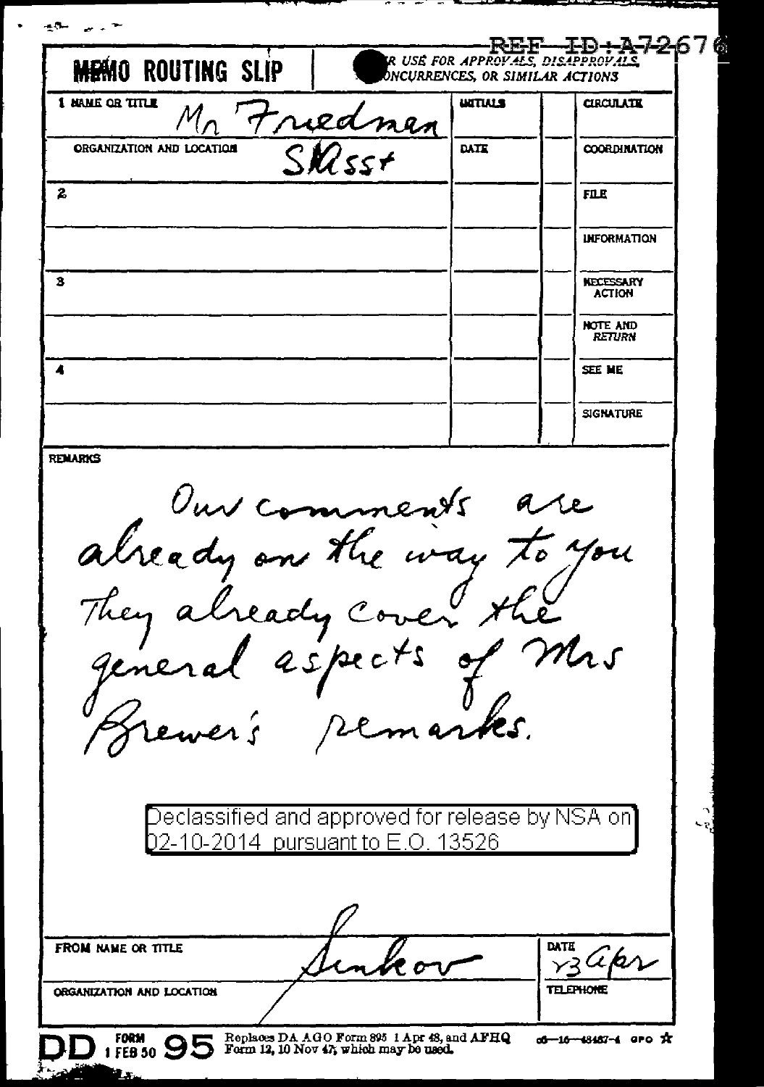| <b>O ROUTING SLIP</b>                                                                | <b>IR USE FOR APPROVALS, DISAPPROVAL</b><br>DNCURRENCES, OR SIMILAR ACTIONS | ╘╚┋╚╌╌╌┸┸┛┽╾╝╾┦╾┙                      |
|--------------------------------------------------------------------------------------|-----------------------------------------------------------------------------|----------------------------------------|
| 1 MAME OR TITLE<br>Friednen                                                          | <b>UITIALS</b>                                                              | <b>CIRCULATE</b>                       |
| ORGANIZATION AND LOCATION<br>$\zeta$ M/ss+                                           | DATE                                                                        | <b>COORDINATION</b>                    |
|                                                                                      |                                                                             | <b>FILE</b>                            |
|                                                                                      |                                                                             | <b>INFORMATION</b>                     |
|                                                                                      |                                                                             | <b>NECESSARY</b><br><b>ACTION</b>      |
|                                                                                      |                                                                             | <b>NOTE AND</b><br><b>RETURN</b>       |
|                                                                                      |                                                                             | SEE ME                                 |
|                                                                                      |                                                                             | <b>SIGNATURE</b>                       |
| Our comments are                                                                     |                                                                             |                                        |
| They already cover the<br>ewer's                                                     | remarks.                                                                    | Mis                                    |
| Declassified and approved for release by NSA on]<br>2-10-2014 pursuant to E.O. 13526 |                                                                             |                                        |
|                                                                                      |                                                                             |                                        |
| FROM NAME OR TITLE<br>ORGANIZATION AND LOCATION                                      |                                                                             | <b>DATE</b><br>akr<br><b>TELEPHONE</b> |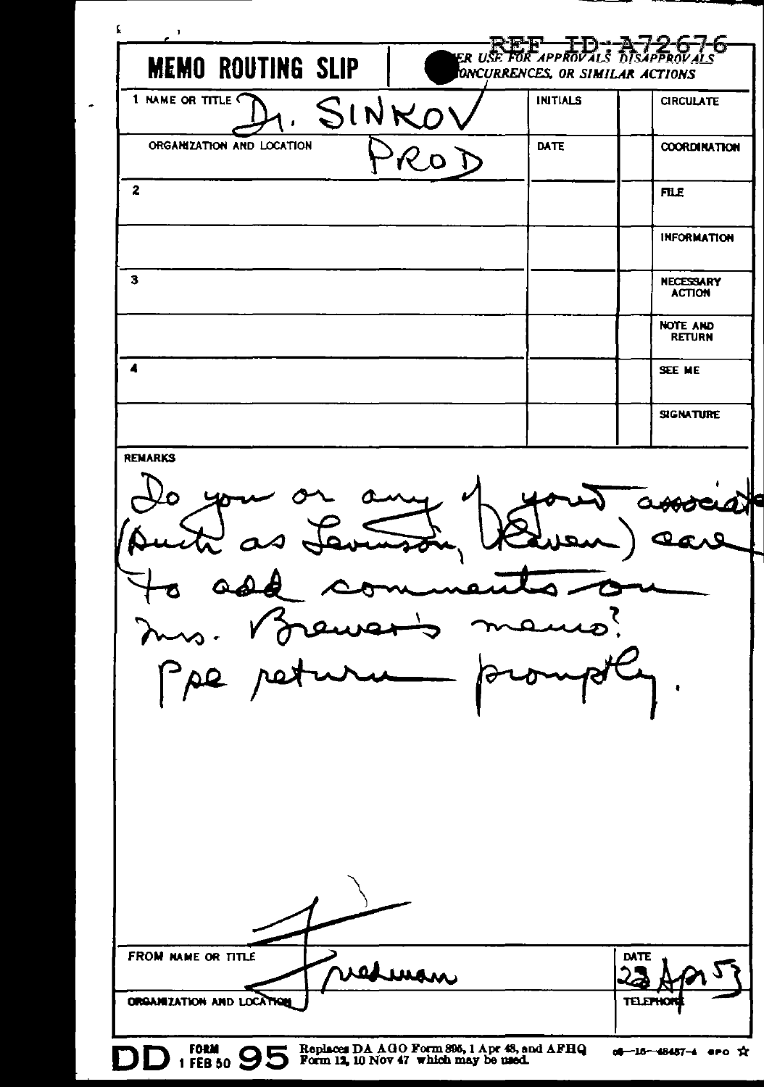| f<br>.,                                         |                                                                                       |                                 | E <del>' I</del> -D- <del>'-A-7-2-6-7-1</del><br>APPROVALS DISAPPROVALS<br>-1-67 |
|-------------------------------------------------|---------------------------------------------------------------------------------------|---------------------------------|----------------------------------------------------------------------------------|
| <b>MEMO ROUTING SLIP</b>                        | ER USE FL                                                                             | ONCURRENCES, OR SIMILAR ACTIONS |                                                                                  |
| 1 NAME OR TITLE<br>SINKO'                       |                                                                                       | <b>INITIALS</b>                 | <b>CIRCULATE</b>                                                                 |
| ORGANIZATION AND LOCATION                       |                                                                                       | <b>DATE</b>                     | <b>COORDINATION</b>                                                              |
| $\mathbf{z}$                                    |                                                                                       |                                 | <b>FILE</b>                                                                      |
|                                                 |                                                                                       |                                 | <b>INFORMATION</b>                                                               |
| з                                               |                                                                                       |                                 | <b>NECESSARY</b><br><b>ACTION</b>                                                |
|                                                 |                                                                                       |                                 | <b>NOTE AND</b><br><b>RETURN</b>                                                 |
| 4                                               |                                                                                       |                                 | SEE ME                                                                           |
|                                                 |                                                                                       |                                 | <b>SIGNATURE</b>                                                                 |
| O<br>$\mathfrak o$                              | سمت                                                                                   |                                 |                                                                                  |
| FROM NAME OR TITLE<br>ORGANIZATION AND LOCATION | vedman                                                                                |                                 | DATE<br>יעמד                                                                     |
| FORM C                                          | Replaces DA AGO Form 895, 1 Apr 48, and AFHQ<br>Form 12, 10 Nov 47 which may be used. |                                 | dd—16—48487—4 ero ☆                                                              |

 $\tilde{\phantom{a}}$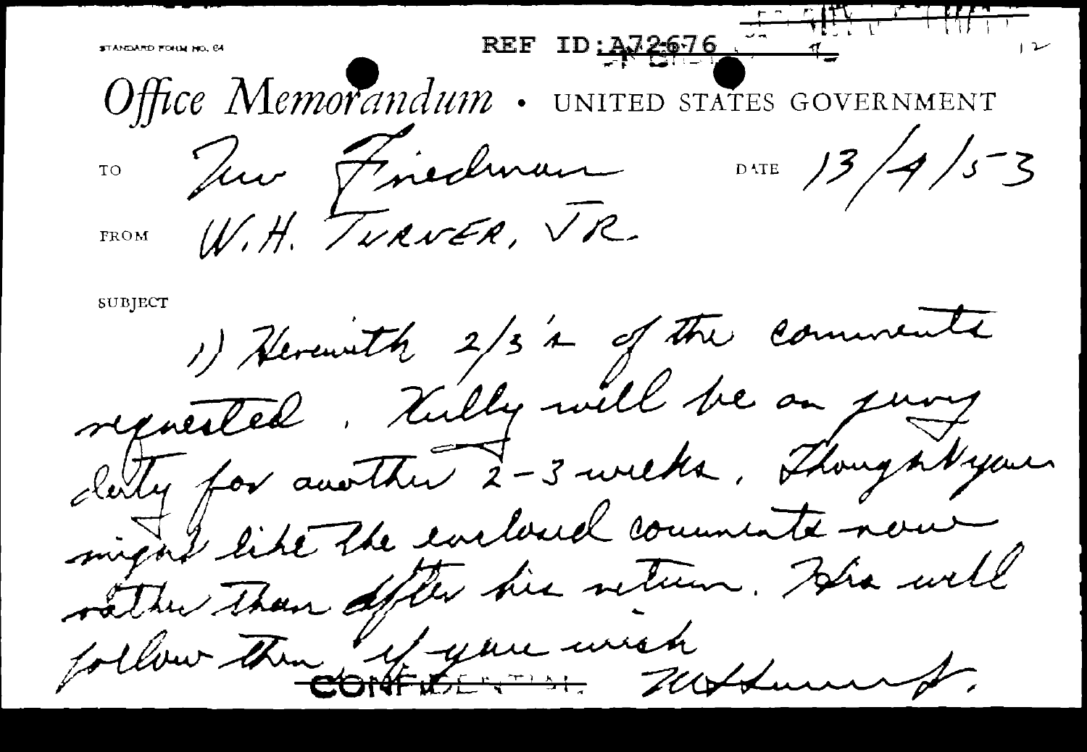REF ID: A72676 STANDARD FORM NO. 64 Office Memorandum . UNITED STATES GOVERNMENT 10 Juin Fincolman DATE 13/4/53 FROM W.H. TURNER, VR. SUBJECT 1) Herewith 2/3's of the comments represented. Tully will be an jury clerky for another 2-3 weeks, Thoughtyou might like the eviloued comments now vätte Than ofte his veter. His well follow the system with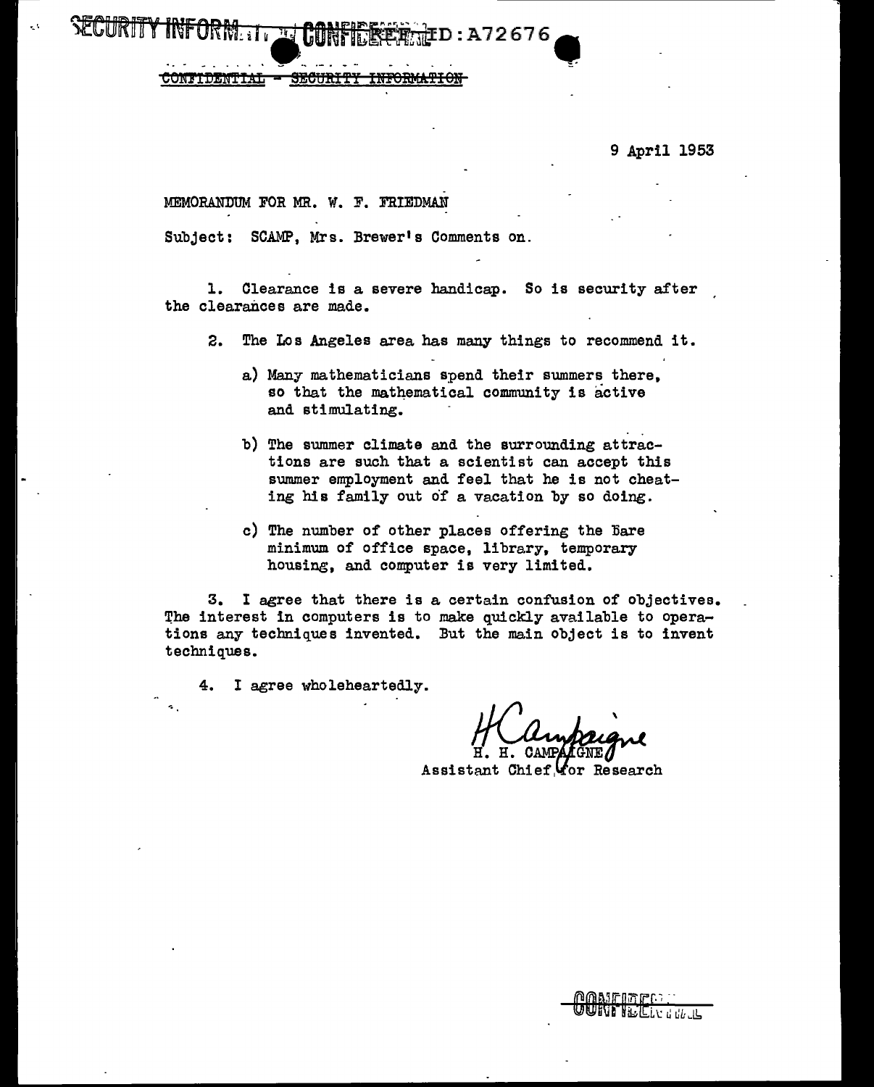9 April 1953

MEMORANDUM FOR MR. W. F. FRIEDMAN

SECURITY INFORM. IT THE CONFIDER RILL D : A72676

 $CONTIDENTIAL - SECIRITY$ 

Subject: SCAMP, Mrs. Brewer's Comments on.

l. Clearance is a severe handicap. So is security after the clearances are made.

- 2. The Los Angeles area has many things to recommend it.
	- a) Many mathematicians spend their summers there, so that the mathematical community is active and stimulating.
	- b) The summer climate and the surrounding attractions are such that a scientist can accept this summer employment and feel that he is not cheating his family out of a vacation by so doing.
	- c) The number of other places offering the Bare minimum of office space, library, temporary housing, and computer is very limited.

 $3.$  I agree that there is a certain confusion of objectives. The interest in computers is to make quickly available to operations any techniques invented. But the main object is to invent techniques.

4. I agree wholeheartedly.

Assistant Chief Yor Research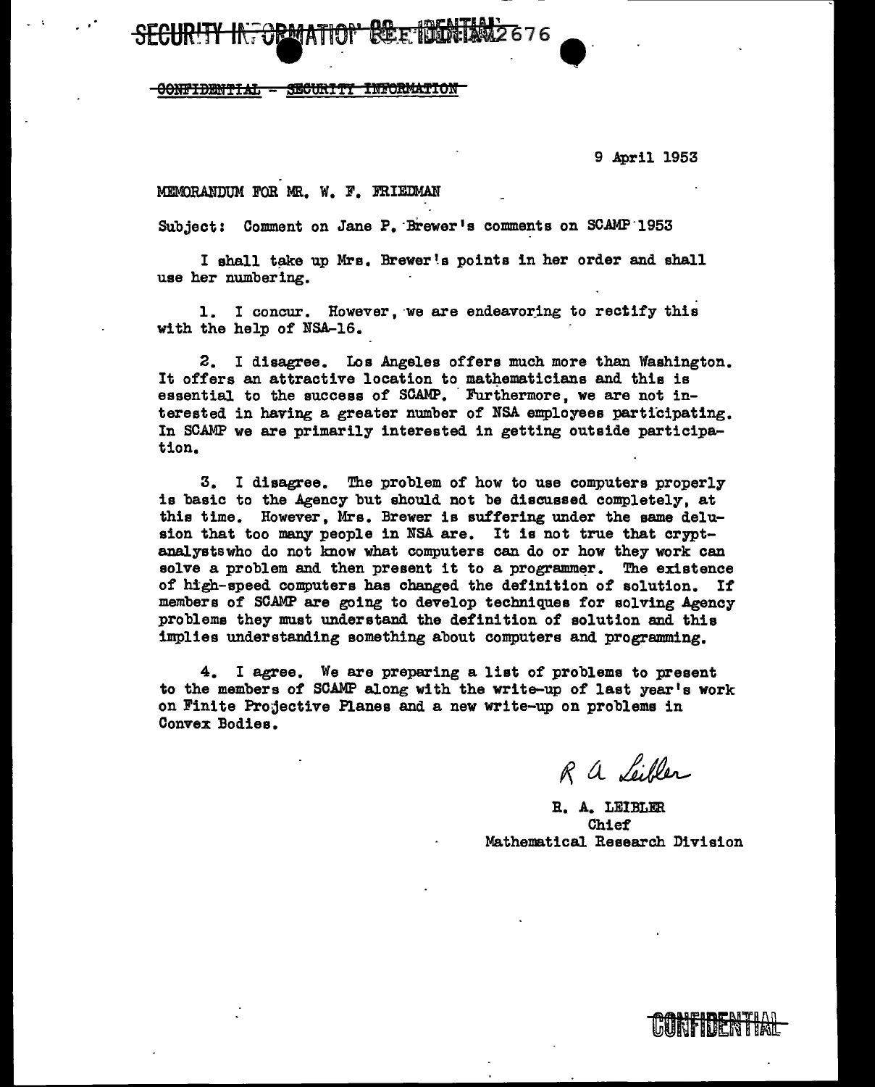<del>OONFIDENTIAL</del> **SECURITY** 

<del>in Orm</del>

9 April 1953

## MEMORANDUM FOR MR. W. F. FRIEDMAN

Subject: Comment on Jane P. Brewer's comments on SCAMP 1953

I shall take up Mrs. Brewer's points in her order and shall use her numbering.

1. I concur. However, we are endeavoring to rectify this with the help of NSA-16.

2. I disagree. Los Angeles offers much more than Washington. It offers an attractive location to mathematicians and this is essential to the success of SCAMP. Furthermore, we are not interested in having a greater number of NSA employees participating. In SCAMP we are primarily interested in getting outside participation.

3. I disagree. The problem of how to use computers properly is basic to the Agency but should not be discussed completely, at this time. However, Mrs. Brewer is suffering under the same delusion that too many people in NSA are. It is not true that cryptanalysts who do not know what computers can do or how they work can solve a problem and then present it to a programmer. The existence of high-speed computers has changed the definition of solution. If members of SCAMP are going to develop techniques for solving Agency problems they must understand the definition of solution and this implies understanding something about computers and programming.

4. I agree. We are preparing a list of problems to present to the members of SCAMP along with the write-up of last year's work on Finite Projective Planes and a new write-up on problems in Convex Bodies.

R a Leibler

R. A. LEIBLER Chief Mathematical Research Division

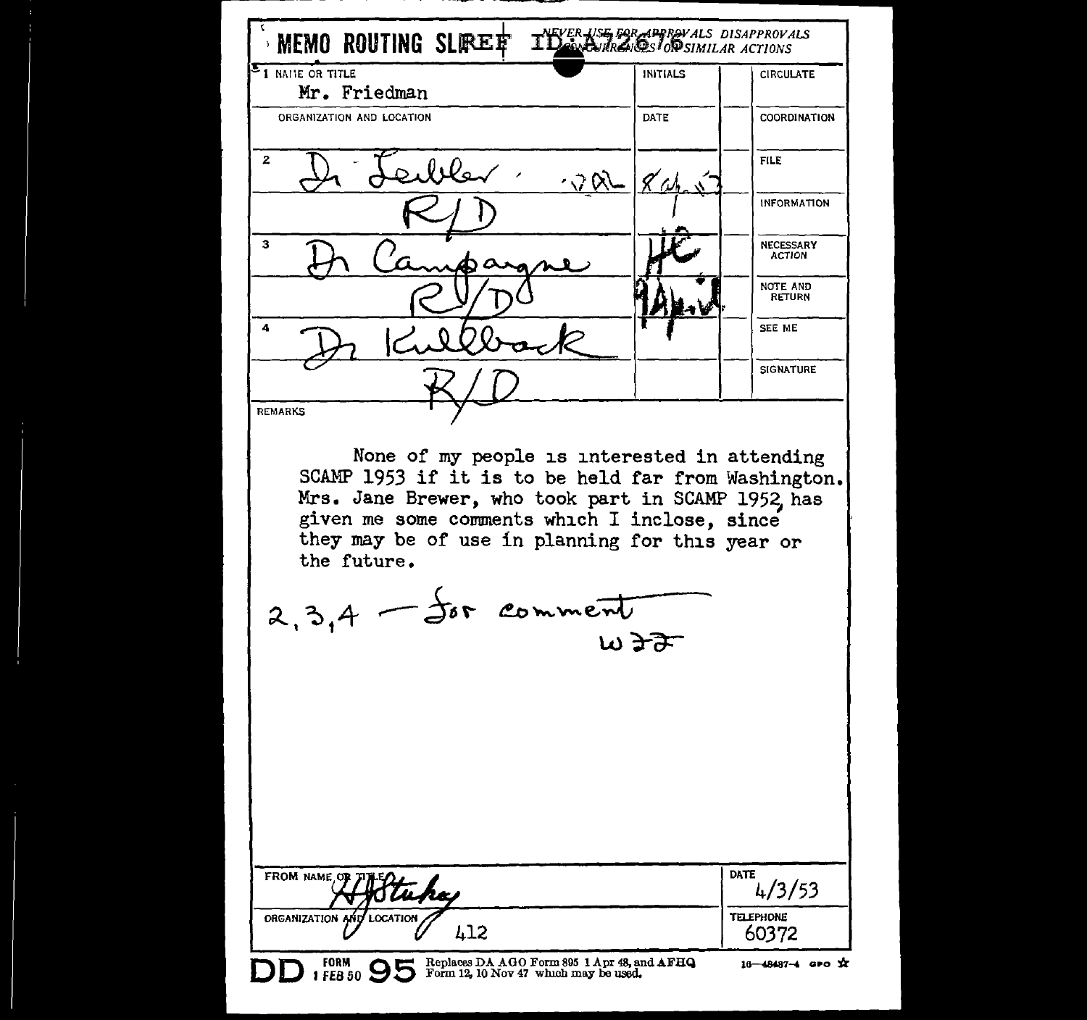| <sup>5</sup> 1 NAME OR TITLE<br>Mr. Friedman                                                                                                                                                                                                                                                   | <b>INITIALS</b> | <b>CIRCULATE</b>           |
|------------------------------------------------------------------------------------------------------------------------------------------------------------------------------------------------------------------------------------------------------------------------------------------------|-----------------|----------------------------|
| ORGANIZATION AND LOCATION                                                                                                                                                                                                                                                                      | DATE            | <b>COORDINATION</b>        |
| $\boldsymbol{z}$<br>eibler :                                                                                                                                                                                                                                                                   |                 | <b>FILE</b>                |
|                                                                                                                                                                                                                                                                                                | へつめ             | <b>INFORMATION</b>         |
| з                                                                                                                                                                                                                                                                                              |                 | NECESSARY<br><b>ACTION</b> |
|                                                                                                                                                                                                                                                                                                |                 | NOTE AND<br><b>RETURN</b>  |
| 4                                                                                                                                                                                                                                                                                              |                 | SEE ME                     |
|                                                                                                                                                                                                                                                                                                |                 | <b>SIGNATURE</b>           |
| <b>REMARKS</b><br>None of my people is interested in attending<br>SCAMP 1953 if it is to be held far from Washington.<br>Mrs. Jane Brewer, who took part in SCAMP 1952, has<br>given me some comments which I inclose, since<br>they may be of use in planning for this year or<br>the future. |                 |                            |
| $2,3,4$ - for comment                                                                                                                                                                                                                                                                          | wðF             |                            |
|                                                                                                                                                                                                                                                                                                |                 |                            |
| <b>FROM NAME OF</b><br>tuha                                                                                                                                                                                                                                                                    |                 | DATE<br>4/3/53             |